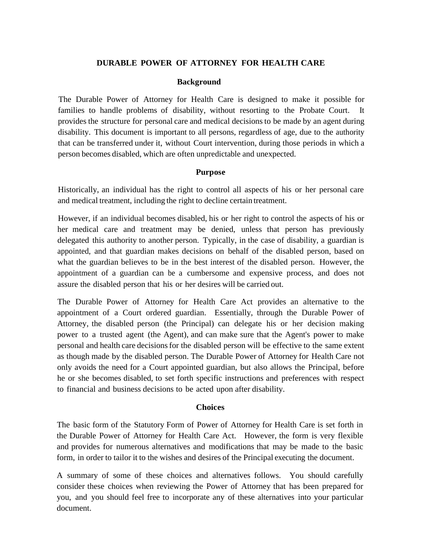## **DURABLE POWER OF ATTORNEY FOR HEALTH CARE**

## **Background**

The Durable Power of Attorney for Health Care is designed to make it possible for families to handle problems of disability, without resorting to the Probate Court. It provides the structure for personal care and medical decisions to be made by an agent during disability. This document is important to all persons, regardless of age, due to the authority that can be transferred under it, without Court intervention, during those periods in which a person becomes disabled, which are often unpredictable and unexpected.

## **Purpose**

Historically, an individual has the right to control all aspects of his or her personal care and medical treatment, including the right to decline certain treatment.

However, if an individual becomes disabled, his or her right to control the aspects of his or her medical care and treatment may be denied, unless that person has previously delegated this authority to another person. Typically, in the case of disability, a guardian is appointed, and that guardian makes decisions on behalf of the disabled person, based on what the guardian believes to be in the best interest of the disabled person. However, the appointment of a guardian can be a cumbersome and expensive process, and does not assure the disabled person that his or her desires will be carried out.

The Durable Power of Attorney for Health Care Act provides an alternative to the appointment of a Court ordered guardian. Essentially, through the Durable Power of Attorney, the disabled person (the Principal) can delegate his or her decision making power to a trusted agent (the Agent), and can make sure that the Agent's power to make personal and health care decisions for the disabled person will be effective to the same extent as though made by the disabled person. The Durable Power of Attorney for Health Care not only avoids the need for a Court appointed guardian, but also allows the Principal, before he or she becomes disabled, to set forth specific instructions and preferences with respect to financial and business decisions to be acted upon after disability.

## **Choices**

The basic form of the Statutory Form of Power of Attorney for Health Care is set forth in the Durable Power of Attorney for Health Care Act. However, the form is very flexible and provides for numerous alternatives and modifications that may be made to the basic form, in order to tailor it to the wishes and desires of the Principal executing the document.

A summary of some of these choices and alternatives follows. You should carefully consider these choices when reviewing the Power of Attorney that has been prepared for you, and you should feel free to incorporate any of these alternatives into your particular document.